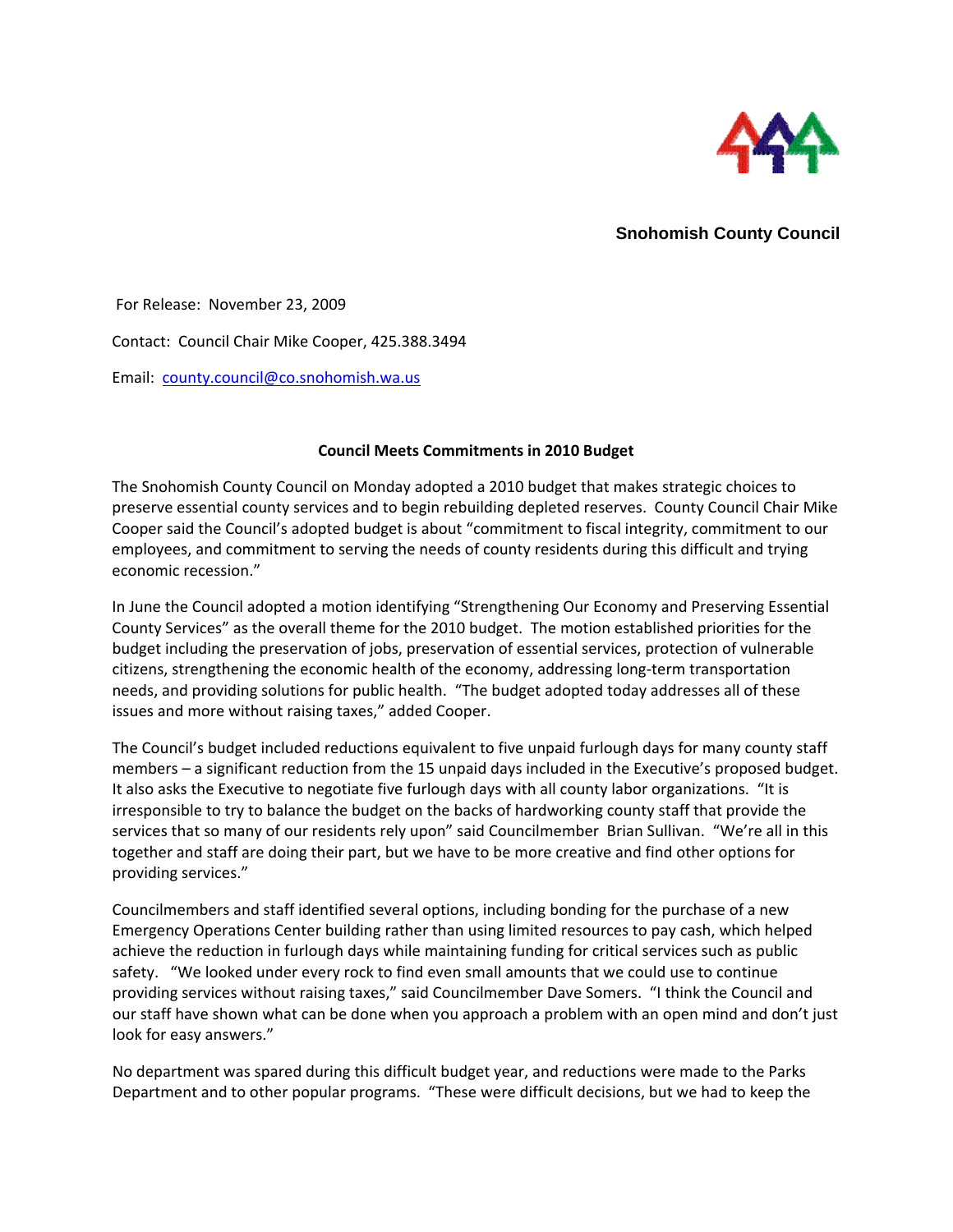

**Snohomish County Council**

For Release: November 23, 2009 Contact: Council Chair Mike Cooper, 425.388.3494 Email: [county.council@co.snohomish.wa.us](mailto:county.council@co.snohomish.wa.us)

## **Council Meets Commitments in 2010 Budget**

The Snohomish County Council on Monday adopted a 2010 budget that makes strategic choices to preserve essential county services and to begin rebuilding depleted reserves. County Council Chair Mike Cooper said the Council's adopted budget is about "commitment to fiscal integrity, commitment to our employees, and commitment to serving the needs of county residents during this difficult and trying economic recession."

In June the Council adopted a motion identifying "Strengthening Our Economy and Preserving Essential County Services" as the overall theme for the 2010 budget. The motion established priorities for the budget including the preservation of jobs, preservation of essential services, protection of vulnerable citizens, strengthening the economic health of the economy, addressing long‐term transportation needs, and providing solutions for public health. "The budget adopted today addresses all of these issues and more without raising taxes," added Cooper.

The Council's budget included reductions equivalent to five unpaid furlough days for many county staff members – a significant reduction from the 15 unpaid days included in the Executive's proposed budget. It also asks the Executive to negotiate five furlough days with all county labor organizations. "It is irresponsible to try to balance the budget on the backs of hardworking county staff that provide the services that so many of our residents rely upon" said Councilmember Brian Sullivan. "We're all in this together and staff are doing their part, but we have to be more creative and find other options for providing services."

Councilmembers and staff identified several options, including bonding for the purchase of a new Emergency Operations Center building rather than using limited resources to pay cash, which helped achieve the reduction in furlough days while maintaining funding for critical services such as public safety. "We looked under every rock to find even small amounts that we could use to continue providing services without raising taxes," said Councilmember Dave Somers. "I think the Council and our staff have shown what can be done when you approach a problem with an open mind and don't just look for easy answers."

No department was spared during this difficult budget year, and reductions were made to the Parks Department and to other popular programs. "These were difficult decisions, but we had to keep the